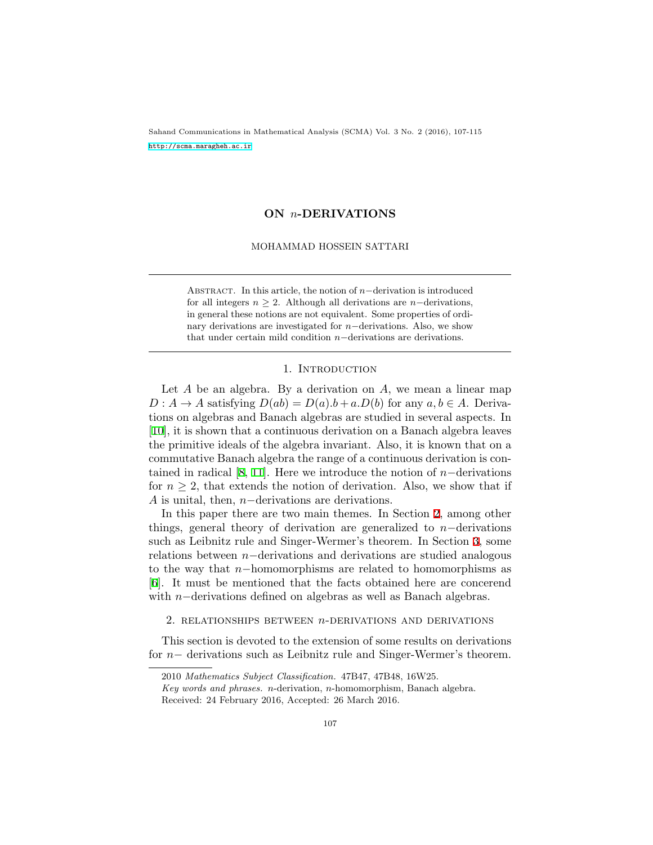Sahand Communications in Mathematical Analysis (SCMA) Vol. 3 No. 2 (2016), 107-115 <http://scma.maragheh.ac.ir>

# **ON** *n***-DERIVATIONS**

## MOHAMMAD HOSSEIN SATTARI

Abstract. In this article, the notion of *<sup>n</sup>−*derivation is introduced for all integers  $n \geq 2$ . Although all derivations are *n−*derivations, in general these notions are not equivalent. Some properties of ordinary derivations are investigated for *n−*derivations. Also, we show that under certain mild condition *n−*derivations are derivations.

## 1. INTRODUCTION

Let *A* be an algebra. By a derivation on *A*, we mean a linear map  $D: A \rightarrow A$  satisfying  $D(ab) = D(a) \cdot b + a \cdot D(b)$  for any  $a, b \in A$ . Derivations on algebras and Banach algebras are studied in several aspects. In [[10](#page-8-0)], it is shown that a continuous derivation on a Banach algebra leaves the primitive ideals of the algebra invariant. Also, it is known that on a commutative Banach algebra the range of a continuous derivation is contained in radical [[8,](#page-8-1) [11\]](#page-8-2). Here we introduce the notion of *n−*derivations for  $n \geq 2$ , that extends the notion of derivation. Also, we show that if *A* is unital, then, *n−*derivations are derivations.

In this paper there are two main themes. In Section [2](#page-0-0), among other things, general theory of derivation are generalized to *n−*derivations such as Leibnitz rule and Singer-Wermer's theorem. In Section [3](#page-4-0), some relations between *n−*derivations and derivations are studied analogous to the way that *n−*homomorphisms are related to homomorphisms as [[6\]](#page-8-3). It must be mentioned that the facts obtained here are concerend with *n−*derivations defined on algebras as well as Banach algebras.

<span id="page-0-0"></span>2. relationships between *n*-derivations and derivations

This section is devoted to the extension of some results on derivations for *n−* derivations such as Leibnitz rule and Singer-Wermer's theorem.

<sup>2010</sup> *Mathematics Subject Classification.* 47B47, 47B48, 16W25.

*Key words and phrases. n*-derivation, *n*-homomorphism, Banach algebra. Received: 24 February 2016, Accepted: 26 March 2016.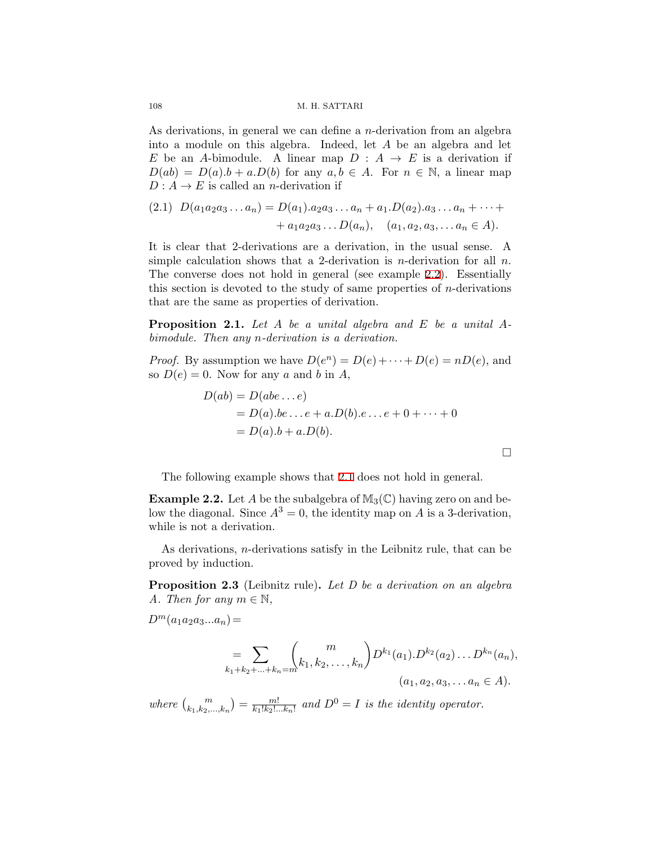108 M. H. SATTARI

As derivations, in general we can define a *n*-derivation from an algebra into a module on this algebra. Indeed, let *A* be an algebra and let *E* be an *A*-bimodule. A linear map  $D: A \rightarrow E$  is a derivation if  $D(ab) = D(a) \cdot b + a \cdot D(b)$  for any  $a, b \in A$ . For  $n \in \mathbb{N}$ , a linear map  $D: A \to E$  is called an *n*-derivation if

$$
(2.1) \ D(a_1a_2a_3...a_n) = D(a_1).a_2a_3...a_n + a_1.D(a_2).a_3...a_n + \cdots + a_1a_2a_3...D(a_n), \quad (a_1, a_2, a_3,...a_n \in A).
$$

It is clear that 2-derivations are a derivation, in the usual sense. A simple calculation shows that a 2-derivation is *n*-derivation for all *n*. The converse does not hold in general (see example [2.2\)](#page-1-0). Essentially this section is devoted to the study of same properties of *n*-derivations that are the same as properties of derivation.

<span id="page-1-1"></span>**Proposition 2.1.** *Let A be a unital algebra and E be a unital Abimodule. Then any n-derivation is a derivation.*

*Proof.* By assumption we have  $D(e^n) = D(e) + \cdots + D(e) = nD(e)$ , and so  $D(e) = 0$ . Now for any *a* and *b* in *A*,

$$
D(ab) = D(abe...e)
$$
  
=  $D(a).be...e + a.D(b).e...e + 0 + \cdots + 0$   
=  $D(a).b + a.D(b).$ 

□

The following example shows that [2.1](#page-1-1) does not hold in general.

<span id="page-1-0"></span>**Example 2.2.** Let *A* be the subalgebra of  $M_3(\mathbb{C})$  having zero on and below the diagonal. Since  $A^3 = 0$ , the identity map on *A* is a 3-derivation, while is not a derivation.

As derivations, *n*-derivations satisfy in the Leibnitz rule, that can be proved by induction.

**Proposition 2.3** (Leibnitz rule)**.** *Let D be a derivation on an algebra A. Then for any*  $m \in \mathbb{N}$ ,

 $D^m(a_1a_2a_3...a_n) =$ 

$$
= \sum_{k_1+k_2+\ldots+k_n=m} {m \choose k_1, k_2, \ldots, k_n} D^{k_1}(a_1) \cdot D^{k_2}(a_2) \ldots D^{k_n}(a_n),
$$
  
(a<sub>1</sub>, a<sub>2</sub>, a<sub>3</sub>, \ldots a<sub>n</sub>  $\in$  A).

*where*  $\binom{m}{k_1, k_2, ..., k_n} = \frac{m!}{k_1! k_2!}$  $\frac{m!}{k_1! k_2! \dots k_n!}$  and  $D^0 = I$  *is the identity operator.*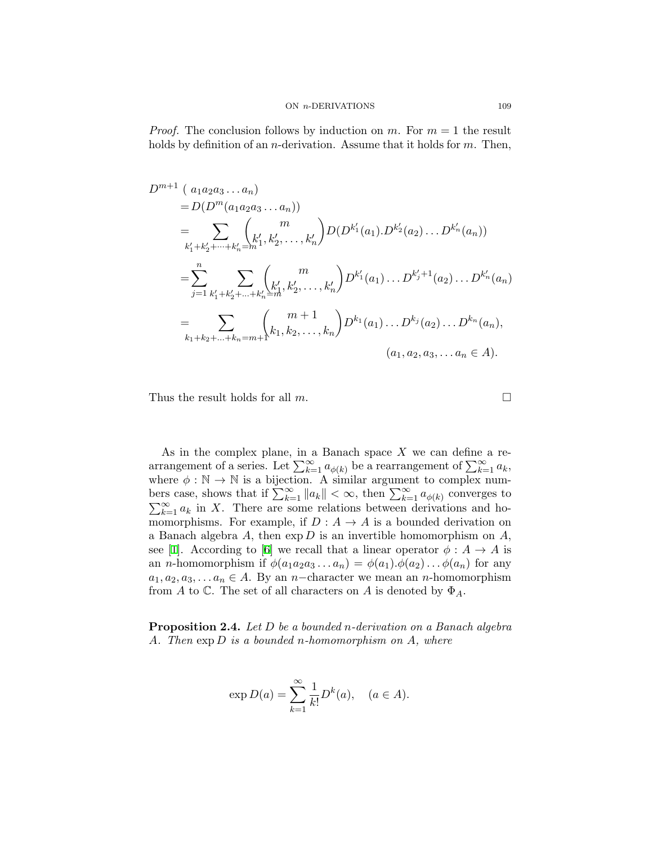*Proof.* The conclusion follows by induction on  $m$ . For  $m = 1$  the result holds by definition of an *n*-derivation. Assume that it holds for *m*. Then,

$$
D^{m+1} (a_1 a_2 a_3 ... a_n)
$$
  
=  $D(D^m(a_1 a_2 a_3 ... a_n))$   
=  $\sum_{k'_1 + k'_2 + ... + k'_n = m} {m \choose k'_1, k'_2, ..., k'_n} D(D^{k'_1}(a_1) \cdot D^{k'_2}(a_2) ... D^{k'_n}(a_n))$   
=  $\sum_{j=1}^n \sum_{k'_1 + k'_2 + ... + k'_n = m} {m \choose k'_1, k'_2, ..., k'_n} D^{k'_1}(a_1) ... D^{k'_j+1}(a_2) ... D^{k'_n}(a_n)$   
=  $\sum_{k_1 + k_2 + ... + k_n = m+1} {m+1 \choose k_1, k_2, ..., k_n} D^{k_1}(a_1) ... D^{k_j}(a_2) ... D^{k_n}(a_n),$   
(a<sub>1</sub>, a<sub>2</sub>, a<sub>3</sub>, ... a<sub>n</sub>  $\in$  A).

Thus the result holds for all  $m$ .  $\Box$ 

As in the complex plane, in a Banach space *X* we can define a rearrangement of a series. Let  $\sum_{k=1}^{\infty} a_{\phi(k)}$  be a rearrangement of  $\sum_{k=1}^{\infty} a_k$ , where  $\phi : \mathbb{N} \to \mathbb{N}$  is a bijection. A similar argument to complex numbers case, shows that if  $\sum_{k=1}^{\infty} ||a_k|| < \infty$ , then  $\sum_{k=1}^{\infty} a_{\phi(k)}$  converges to  $\sum_{k=1}^{\infty} a_k$  in *X*. There are some relations between derivations and homomorphisms. For example, if  $D: A \rightarrow A$  is a bounded derivation on a Banach algebra *A*, then exp *D* is an invertible homomorphism on *A*, see [[1](#page-8-4)]. According to [[6](#page-8-3)] we recall that a linear operator  $\phi : A \to A$  is an *n*-homomorphism if  $\phi(a_1a_2a_3...a_n) = \phi(a_1).\phi(a_2)... \phi(a_n)$  for any  $a_1, a_2, a_3, \ldots, a_n \in A$ . By an *n−*character we mean an *n*-homomorphism from *A* to  $\mathbb C$ . The set of all characters on *A* is denoted by  $\Phi_A$ .

**Proposition 2.4.** *Let D be a bounded n-derivation on a Banach algebra A. Then* exp *D is a bounded n-homomorphism on A, where*

$$
\exp D(a) = \sum_{k=1}^{\infty} \frac{1}{k!} D^k(a), \quad (a \in A).
$$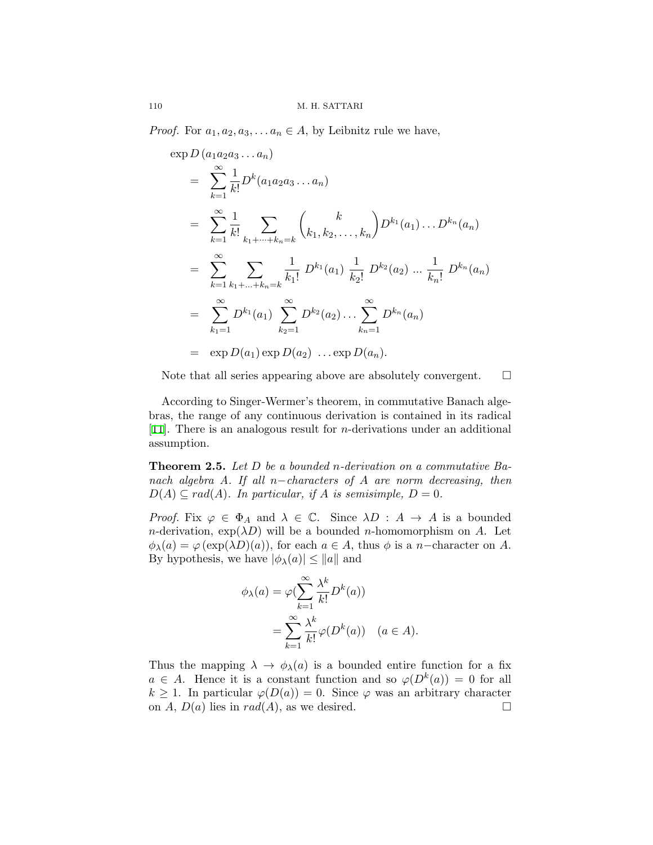*Proof.* For  $a_1, a_2, a_3, \ldots, a_n \in A$ , by Leibnitz rule we have,

$$
\exp D (a_1 a_2 a_3 ... a_n)
$$
\n
$$
= \sum_{k=1}^{\infty} \frac{1}{k!} D^k (a_1 a_2 a_3 ... a_n)
$$
\n
$$
= \sum_{k=1}^{\infty} \frac{1}{k!} \sum_{k_1 + \dots + k_n = k} {k \choose k_1, k_2, ..., k_n} D^{k_1}(a_1) ... D^{k_n}(a_n)
$$
\n
$$
= \sum_{k=1}^{\infty} \sum_{k_1 + \dots + k_n = k} \frac{1}{k_1!} D^{k_1}(a_1) \frac{1}{k_2!} D^{k_2}(a_2) ... \frac{1}{k_n!} D^{k_n}(a_n)
$$
\n
$$
= \sum_{k_1=1}^{\infty} D^{k_1}(a_1) \sum_{k_2=1}^{\infty} D^{k_2}(a_2) ... \sum_{k_n=1}^{\infty} D^{k_n}(a_n)
$$
\n
$$
= \exp D(a_1) \exp D(a_2) ... \exp D(a_n).
$$

Note that all series appearing above are absolutely convergent.  $\Box$ 

According to Singer-Wermer's theorem, in commutative Banach algebras, the range of any continuous derivation is contained in its radical [[11](#page-8-2)]. There is an analogous result for *n*-derivations under an additional assumption.

**Theorem 2.5.** *Let D be a bounded n-derivation on a commutative Banach algebra A. If all n−characters of A are norm decreasing, then*  $D(A) \subseteq rad(A)$ *. In particular, if A is semisimple,*  $D = 0$ *.* 

*Proof.* Fix  $\varphi \in \Phi_A$  and  $\lambda \in \mathbb{C}$ . Since  $\lambda D : A \to A$  is a bounded *n*-derivation,  $\exp(\lambda D)$  will be a bounded *n*-homomorphism on *A*. Let  $\phi_{\lambda}(a) = \varphi(\exp(\lambda D)(a))$ , for each  $a \in A$ , thus  $\phi$  is a *n−*character on *A*. By hypothesis, we have  $|\phi_{\lambda}(a)| \leq ||a||$  and

$$
\phi_{\lambda}(a) = \varphi \left( \sum_{k=1}^{\infty} \frac{\lambda^k}{k!} D^k(a) \right)
$$

$$
= \sum_{k=1}^{\infty} \frac{\lambda^k}{k!} \varphi(D^k(a)) \quad (a \in A).
$$

Thus the mapping  $\lambda \to \phi_{\lambda}(a)$  is a bounded entire function for a fix  $a \in A$ . Hence it is a constant function and so  $\varphi(D^k(a)) = 0$  for all *k*  $\geq$  1. In particular  $\varphi(D(a)) = 0$ . Since  $\varphi$  was an arbitrary character on *A*, *D*(*a*) lies in *rad*(*A*), as we desired. on  $A, D(a)$  lies in  $rad(A)$ , as we desired.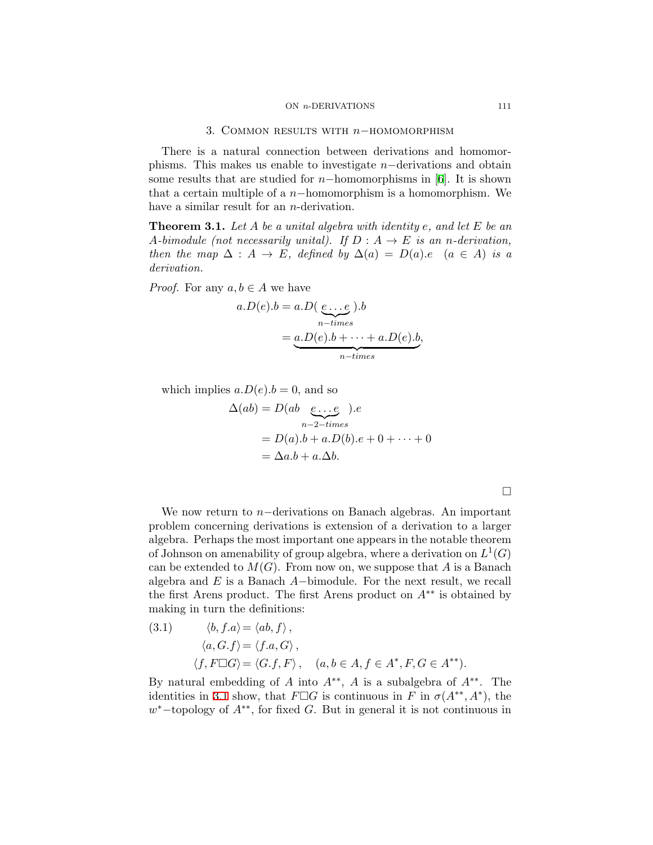#### ON *n*-DERIVATIONS 111

## 3. Common results with *<sup>n</sup>−*homomorphism

<span id="page-4-0"></span>There is a natural connection between derivations and homomorphisms. This makes us enable to investigate *n−*derivations and obtain some results that are studied for *n−*homomorphisms in [[6](#page-8-3)]. It is shown that a certain multiple of a *n−*homomorphism is a homomorphism. We have a similar result for an *n*-derivation.

<span id="page-4-2"></span>**Theorem 3.1.** *Let A be a unital algebra with identity e, and let E be an A*<sup>*-bimodule (not necessarily unital). If*  $D: A \rightarrow E$  *is an n-derivation,*</sup> *then the map*  $\Delta: A \to E$ *, defined by*  $\Delta(a) = D(a)$ *.e*  $(a \in A)$  *is a derivation.*

*Proof.* For any  $a, b \in A$  we have

$$
a.D(e).b = a.D(\underbrace{e...e}_{n-times}).b
$$

$$
= \underbrace{a.D(e).b + \dots + a.D(e).b}_{n-times},
$$

which implies  $a.D(e).b = 0$ , and so

$$
\Delta(ab) = D(ab \underbrace{e \dots e}_{n-2-times}).e
$$
  
=  $D(a).b + a.D(b).e + 0 + \dots + 0$   
=  $\Delta a.b + a.\Delta b.$ 

We now return to *n−*derivations on Banach algebras. An important problem concerning derivations is extension of a derivation to a larger algebra. Perhaps the most important one appears in the notable theorem of Johnson on amenability of group algebra, where a derivation on  $L^1(G)$ can be extended to  $M(G)$ . From now on, we suppose that A is a Banach algebra and *E* is a Banach *A−*bimodule. For the next result, we recall the first Arens product. The first Arens product on *A∗∗* is obtained by making in turn the definitions:

<span id="page-4-1"></span>(3.1) 
$$
\langle b, f.a \rangle = \langle ab, f \rangle
$$
,  
\n $\langle a, G.f \rangle = \langle f.a, G \rangle$ ,  
\n $\langle f, F \Box G \rangle = \langle G.f, F \rangle$ ,  $(a, b \in A, f \in A^*, F, G \in A^{**})$ .

By natural embedding of *A* into *A∗∗* , *A* is a subalgebra of *A∗∗*. The identities in [3.1](#page-4-1) show, that  $F \Box G$  is continuous in  $F$  in  $\sigma(A^{**}, A^*)$ , the *w <sup>∗</sup>−*topology of *A∗∗*, for fixed *G*. But in general it is not continuous in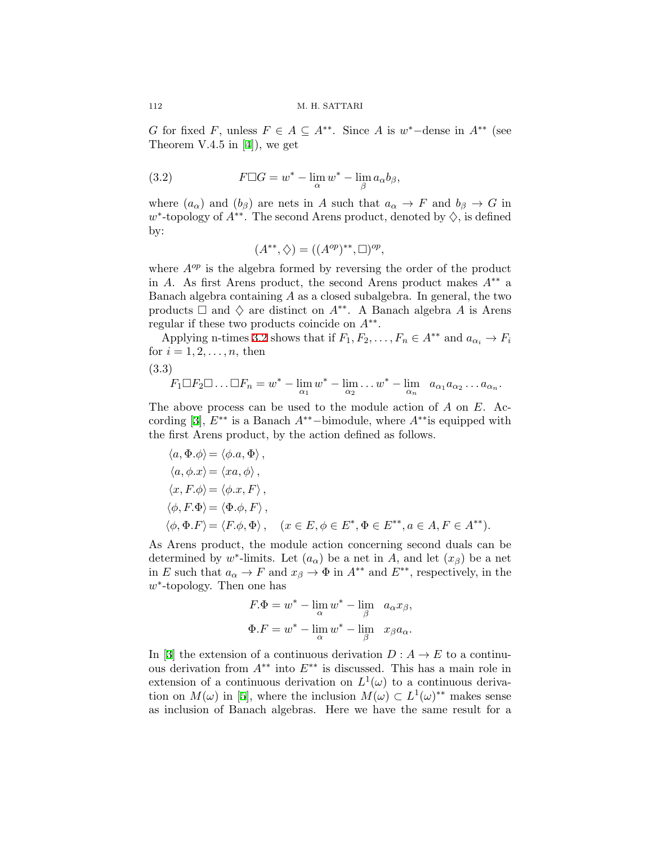*G* for fixed *F*, unless  $F \in A \subseteq A^{**}$ . Since *A* is  $w^*$ −dense in  $A^{**}$  (see Theorem V.4.5 in [\[4\]](#page-8-5)), we get

(3.2) 
$$
F \Box G = w^* - \lim_{\alpha} w^* - \lim_{\beta} a_{\alpha} b_{\beta},
$$

where  $(a_{\alpha})$  and  $(b_{\beta})$  are nets in *A* such that  $a_{\alpha} \to F$  and  $b_{\beta} \to G$  in *w ∗* -topology of *A∗∗*. The second Arens product, denoted by *♢*, is defined by:

<span id="page-5-1"></span><span id="page-5-0"></span>
$$
(A^{**}, \diamondsuit) = ((A^{op})^{**}, \square)^{op},
$$

where  $A^{op}$  is the algebra formed by reversing the order of the product in *A*. As first Arens product, the second Arens product makes *A∗∗* a Banach algebra containing *A* as a closed subalgebra. In general, the two products  $\Box$  and  $\diamondsuit$  are distinct on  $A^{**}$ . A Banach algebra A is Arens regular if these two products coincide on *A∗∗* .

Applying n-times [3.2](#page-5-0) shows that if  $F_1, F_2, \ldots, F_n \in A^{**}$  and  $a_{\alpha_i} \to F_i$ for  $i = 1, 2, ..., n$ , then

(3.3)

$$
F_1 \Box F_2 \Box \dots \Box F_n = w^* - \lim_{\alpha_1} w^* - \lim_{\alpha_2} \dots w^* - \lim_{\alpha_n} a_{\alpha_1} a_{\alpha_2} \dots a_{\alpha_n}.
$$

The above process can be used to the module action of *A* on *E*. According [\[3\]](#page-8-6), *E∗∗* is a Banach *A∗∗−*bimodule, where *A∗∗*is equipped with the first Arens product, by the action defined as follows.

$$
\langle a, \Phi \cdot \phi \rangle = \langle \phi \cdot a, \Phi \rangle, \n\langle a, \phi \cdot x \rangle = \langle xa, \phi \rangle, \n\langle x, F \cdot \phi \rangle = \langle \phi \cdot x, F \rangle, \n\langle \phi, F \cdot \Phi \rangle = \langle \Phi \cdot \phi, F \rangle, \n\langle \phi, \Phi \cdot F \rangle = \langle F \cdot \phi, \Phi \rangle, \quad (x \in E, \phi \in E^*, \Phi \in E^{**}, a \in A, F \in A^{**}).
$$

As Arens product, the module action concerning second duals can be determined by  $w^*$ -limits. Let  $(a_{\alpha})$  be a net in *A*, and let  $(x_{\beta})$  be a net in *E* such that  $a_{\alpha} \to F$  and  $x_{\beta} \to \Phi$  in  $A^{**}$  and  $E^{**}$ , respectively, in the *w ∗* -topology. Then one has

$$
F \cdot \Phi = w^* - \lim_{\alpha} w^* - \lim_{\beta} a_{\alpha} x_{\beta},
$$
  

$$
\Phi \cdot F = w^* - \lim_{\alpha} w^* - \lim_{\beta} x_{\beta} a_{\alpha}.
$$

In [\[3\]](#page-8-6) the extension of a continuous derivation  $D: A \rightarrow E$  to a continuous derivation from *A∗∗* into *E∗∗* is discussed. This has a main role in extension of a continuous derivation on  $L^1(\omega)$  to a continuous derivation on  $M(\omega)$  in [\[5\]](#page-8-7), where the inclusion  $M(\omega) \subset L^1(\omega)^{**}$  makes sense as inclusion of Banach algebras. Here we have the same result for a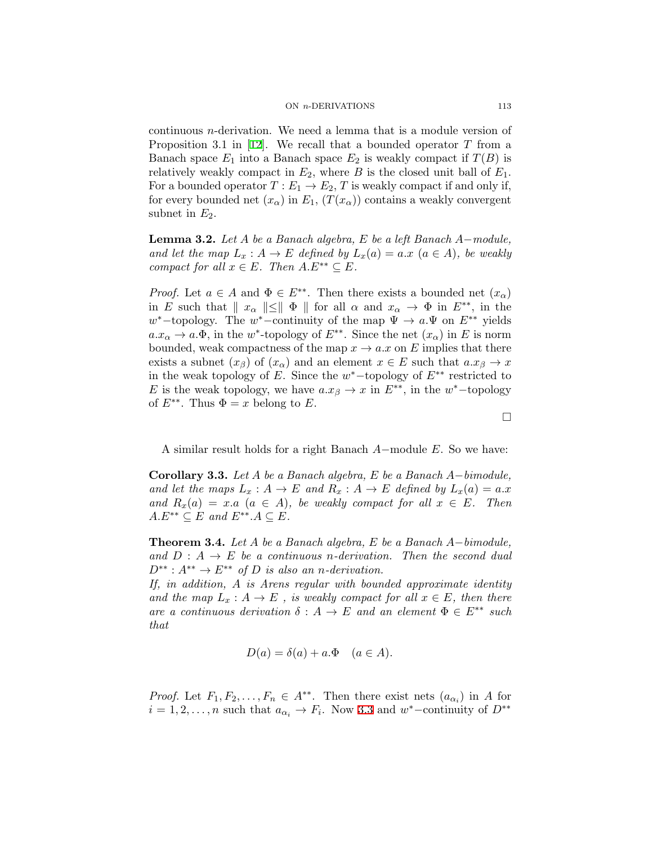continuous *n*-derivation. We need a lemma that is a module version of Proposition 3.1 in [[12\]](#page-8-8). We recall that a bounded operator *T* from a Banach space  $E_1$  into a Banach space  $E_2$  is weakly compact if  $T(B)$  is relatively weakly compact in  $E_2$ , where *B* is the closed unit ball of  $E_1$ . For a bounded operator  $T: E_1 \to E_2$ , *T* is weakly compact if and only if, for every bounded net  $(x_\alpha)$  in  $E_1$ ,  $(T(x_\alpha))$  contains a weakly convergent subnet in  $E_2$ .

<span id="page-6-0"></span>**Lemma 3.2.** *Let A be a Banach algebra, E be a left Banach A−module, and let the map*  $L_x: A \to E$  *defined by*  $L_x(a) = a.x$   $(a \in A)$ *, be weakly compact for all*  $x \in E$ *. Then*  $A.E^{**} \subseteq E$ *.* 

*Proof.* Let  $a \in A$  and  $\Phi \in E^{**}$ . Then there exists a bounded net  $(x_{\alpha})$ in *E* such that  $\|x_{\alpha}\| \leq \|\Phi\|$  for all  $\alpha$  and  $x_{\alpha} \to \Phi$  in  $E^{**}$ , in the  $w^*$ −topology. The  $w^*$ −continuity of the map  $\Psi \to a.\Psi$  on  $E^{**}$  yields  $a.x_{\alpha} \to a.\Phi$ , in the *w*<sup>\*</sup>-topology of  $E^{**}$ . Since the net  $(x_{\alpha})$  in *E* is norm bounded, weak compactness of the map  $x \to a \cdot x$  on  $E$  implies that there exists a subnet  $(x_\beta)$  of  $(x_\alpha)$  and an element  $x \in E$  such that  $a.x_\beta \to x$ in the weak topology of *E*. Since the *w <sup>∗</sup>−*topology of *E∗∗* restricted to *E* is the weak topology, we have  $a.x_\beta \to x$  in  $E^{**}$ , in the  $w^*$ -topology of  $E^{**}$ . Thus  $\Phi = x$  belong to *E*.

A similar result holds for a right Banach *A−*module *E*. So we have:

**Corollary 3.3.** *Let A be a Banach algebra, E be a Banach A−bimodule, and let the maps*  $L_x: A \to E$  *and*  $R_x: A \to E$  *defined by*  $L_x(a) = a.x$ *and*  $R_x(a) = x.a$  ( $a \in A$ ), be weakly compact for all  $x \in E$ . Then  $A.E^{**} \subseteq E$  and  $E^{**}.A \subseteq E$ .

**Theorem 3.4.** *Let A be a Banach algebra, E be a Banach A−bimodule,* and  $D: A \rightarrow E$  be a continuous *n*-derivation. Then the second dual  $D^{**}: A^{**} \to E^{**}$  *of D is also an n-derivation.* 

*If, in addition, A is Arens regular with bounded approximate identity and the map*  $L_x: A \to E$ , *is weakly compact for all*  $x \in E$ *, then there are a continuous derivation*  $\delta: A \to E$  *and an element*  $\Phi \in E^{**}$  *such that*

$$
D(a) = \delta(a) + a.\Phi \quad (a \in A).
$$

*Proof.* Let  $F_1, F_2, \ldots, F_n \in A^{**}$ . Then there exist nets  $(a_{\alpha_i})$  in *A* for  $i = 1, 2, \ldots, n$  such that  $a_{\alpha_i} \to F_i$ . Now [3.3](#page-5-1) and  $w^*$ –continuity of  $D^{**}$ 

□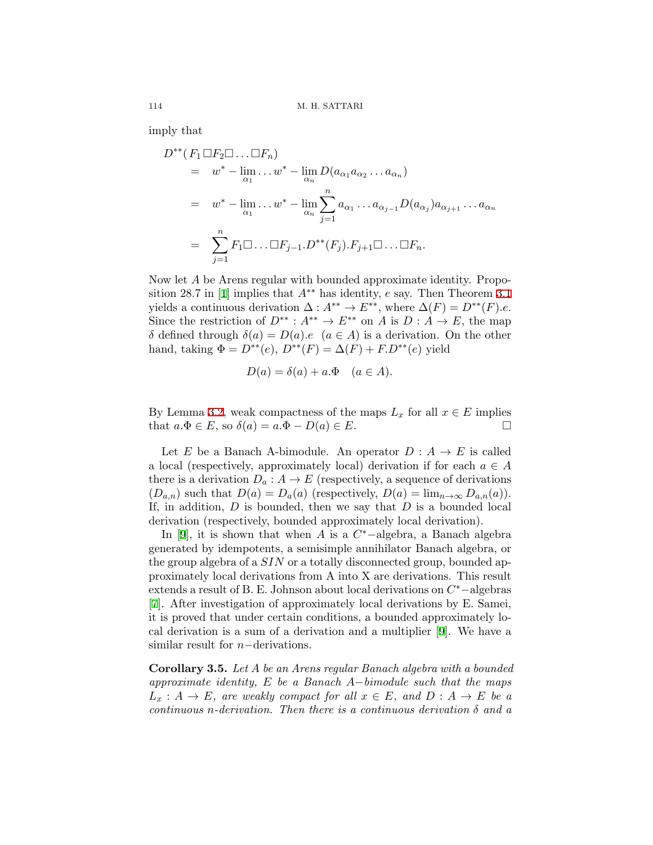imply that

$$
D^{**}(F_1 \square F_2 \square \dots \square F_n)
$$
  
=  $w^* - \lim_{\alpha_1} \dots w^* - \lim_{\alpha_n} D(a_{\alpha_1} a_{\alpha_2} \dots a_{\alpha_n})$   
=  $w^* - \lim_{\alpha_1} \dots w^* - \lim_{\alpha_n} \sum_{j=1}^n a_{\alpha_1} \dots a_{\alpha_{j-1}} D(a_{\alpha_j}) a_{\alpha_{j+1}} \dots a_{\alpha_n}$   
=  $\sum_{j=1}^n F_1 \square \dots \square F_{j-1} \dots D^{**}(F_j) \dots F_{j+1} \square \dots \square F_n.$ 

Now let *A* be Arens regular with bounded approximate identity. Proposition 28.7 in [\[1\]](#page-8-4) implies that *A∗∗* has identity, *e* say. Then Theorem [3.1](#page-4-2) yields a continuous derivation  $\Delta: A^{**} \to E^{**}$ , where  $\Delta(F) = D^{**}(F).e$ . Since the restriction of  $D^{**}: A^{**} \to E^{**}$  on *A* is  $D: A \to E$ , the map *δ* defined through *δ*(*a*) = *D*(*a*)*.e* (*a* ∈ *A*) is a derivation. On the other hand, taking  $\Phi = D^{**}(e), D^{**}(F) = \Delta(F) + F.D^{**}(e)$  yield

$$
D(a) = \delta(a) + a.\Phi \quad (a \in A).
$$

By Lemma [3.2](#page-6-0), weak compactness of the maps  $L_x$  for all  $x \in E$  implies that  $a.\Phi \in E$ , so  $\delta(a) = a.\Phi - D(a) \in E$ . that  $a.\Phi \in E$ , so  $\delta(a) = a.\Phi - D(a) \in E$ .

Let *E* be a Banach A-bimodule. An operator  $D : A \rightarrow E$  is called a local (respectively, approximately local) derivation if for each  $a \in A$ there is a derivation  $D_a: A \to E$  (respectively, a sequence of derivations  $(D_{a,n})$  such that  $D(a) = D_a(a)$  (respectively,  $D(a) = \lim_{n \to \infty} D_{a,n}(a)$ ). If, in addition, *D* is bounded, then we say that *D* is a bounded local derivation (respectively, bounded approximately local derivation).

In [[9](#page-8-9)], it is shown that when *A* is a *C <sup>∗</sup>−*algebra, a Banach algebra generated by idempotents, a semisimple annihilator Banach algebra, or the group algebra of a *SIN* or a totally disconnected group, bounded approximately local derivations from A into X are derivations. This result extends a result of B. E. Johnson about local derivations on *C <sup>∗</sup>−*algebras [[7\]](#page-8-10). After investigation of approximately local derivations by E. Samei, it is proved that under certain conditions, a bounded approximately local derivation is a sum of a derivation and a multiplier [[9](#page-8-9)]. We have a similar result for *n−*derivations.

**Corollary 3.5.** *Let A be an Arens regular Banach algebra with a bounded approximate identity, E be a Banach A−bimodule such that the maps*  $L_x: A \to E$ , are weakly compact for all  $x \in E$ , and  $D: A \to E$  be a *continuous n-derivation. Then there is a continuous derivation δ and a*